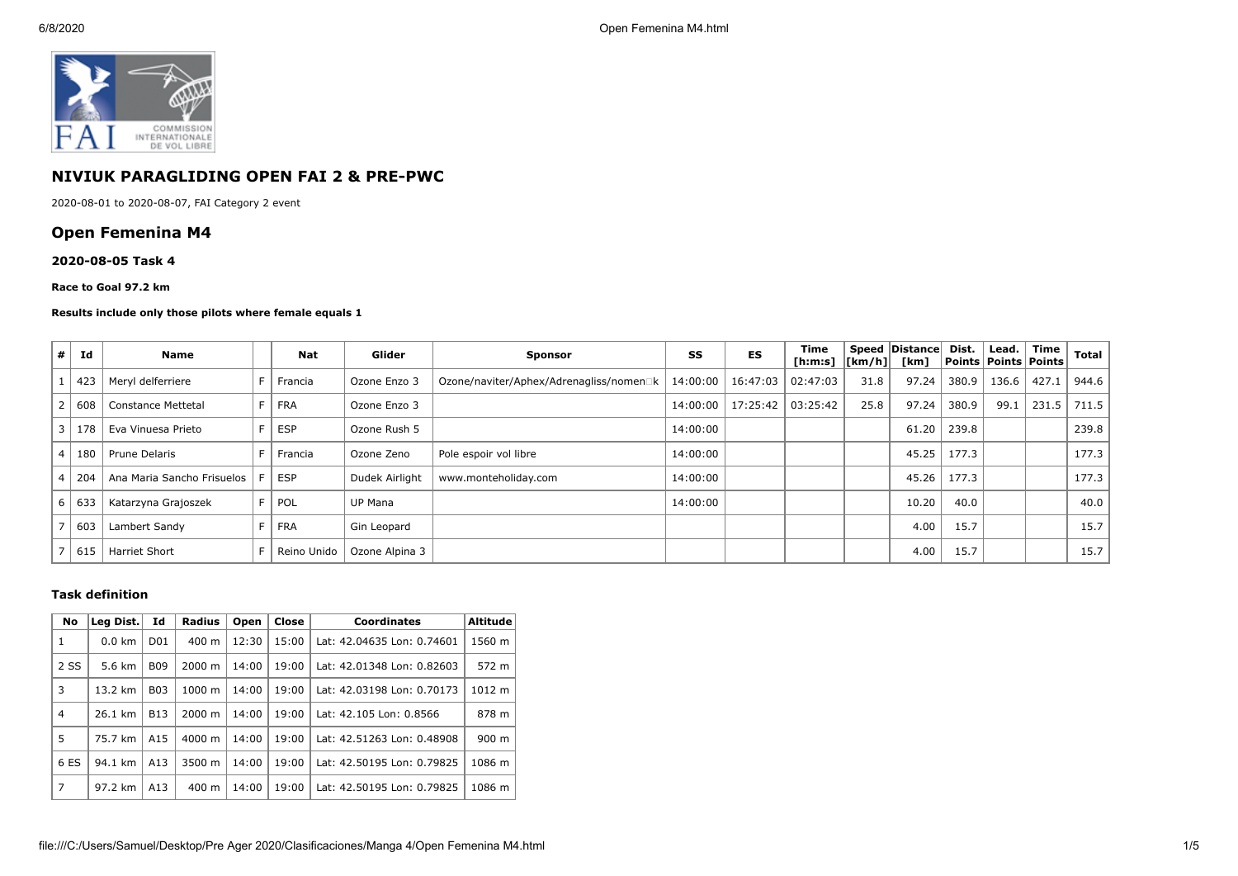

# **NIVIUK PARAGLIDING OPEN FAI 2 & PRE-PWC**

2020-08-01 to 2020-08-07, FAI Category 2 event

# **Open Femenina M4**

## **2020-08-05 Task 4**

### **Race to Goal 97.2 km**

## **Results include only those pilots where female equals 1**

| #                        | Id  | <b>Name</b>                |    | <b>Nat</b>  | Glider         | <b>Sponsor</b>                          | SS       | ES       | Time<br>$[h:m:s]$ $[km/h]$ |      | Speed   Distance  <br>[km] | Dist. | Lead.<br>Points   Points   Points | Time  | <b>Total</b> |
|--------------------------|-----|----------------------------|----|-------------|----------------|-----------------------------------------|----------|----------|----------------------------|------|----------------------------|-------|-----------------------------------|-------|--------------|
|                          | 423 | Meryl delferriere          |    | Francia     | Ozone Enzo 3   | Ozone/naviter/Aphex/Adrenagliss/nomen□k | 14:00:00 | 16:47:03 | 02:47:03                   | 31.8 | 97.24                      | 380.9 | 136.6                             | 427.1 | 944.6        |
|                          | 608 | <b>Constance Mettetal</b>  | F. | <b>FRA</b>  | Ozone Enzo 3   |                                         | 14:00:00 | 17:25:42 | 03:25:42                   | 25.8 | 97.24                      | 380.9 | 99.1                              | 231.5 | 711.5        |
| 3                        | 178 | Eva Vinuesa Prieto         |    | <b>ESP</b>  | Ozone Rush 5   |                                         | 14:00:00 |          |                            |      | 61.20                      | 239.8 |                                   |       | 239.8        |
| $\overline{a}$           | 180 | Prune Delaris              |    | Francia     | Ozone Zeno     | Pole espoir vol libre                   | 14:00:00 |          |                            |      | 45.25                      | 177.3 |                                   |       | 177.3        |
| $\overline{4}$           | 204 | Ana Maria Sancho Frisuelos |    | <b>ESP</b>  | Dudek Airlight | www.monteholiday.com                    | 14:00:00 |          |                            |      | 45.26                      | 177.3 |                                   |       | 177.3        |
| 6                        | 633 | Katarzyna Grajoszek        |    | POL         | <b>UP Mana</b> |                                         | 14:00:00 |          |                            |      | 10.20                      | 40.0  |                                   |       | 40.0         |
| $\overline{\phantom{0}}$ | 603 | Lambert Sandy              |    | <b>FRA</b>  | Gin Leopard    |                                         |          |          |                            |      | 4.00                       | 15.7  |                                   |       | 15.7         |
|                          | 615 | <b>Harriet Short</b>       |    | Reino Unido | Ozone Alpina 3 |                                         |          |          |                            |      | 4.00                       | 15.7  |                                   |       | 15.7         |

## **Task definition**

| No             | Leg Dist.        | Id              | <b>Radius</b>      | Open  | Close | <b>Coordinates</b>         | <b>Altitude</b> |  |
|----------------|------------------|-----------------|--------------------|-------|-------|----------------------------|-----------------|--|
| 1              | $0.0 \text{ km}$ | D <sub>01</sub> | $400 \text{ m}$    | 12:30 | 15:00 | Lat: 42.04635 Lon: 0.74601 | 1560 m          |  |
| 2 SS           | 5.6 km           | <b>B09</b>      | $2000 \; \text{m}$ | 14:00 | 19:00 | Lat: 42.01348 Lon: 0.82603 | 572 m           |  |
| 3              | 13.2 km          | <b>B03</b>      | $1000 \;{\rm m}$   | 14:00 | 19:00 | Lat: 42.03198 Lon: 0.70173 | 1012 m          |  |
| $\overline{4}$ | 26.1 km          | <b>B13</b>      | $2000 \; \text{m}$ | 14:00 | 19:00 | Lat: 42.105 Lon: 0.8566    | 878 m           |  |
| 5              | 75.7 km          | A <sub>15</sub> | $4000 \; \text{m}$ | 14:00 | 19:00 | Lat: 42.51263 Lon: 0.48908 | $900 \text{ m}$ |  |
| 6 ES           | 94.1 km          | A13             | 3500 m             | 14:00 | 19:00 | Lat: 42.50195 Lon: 0.79825 | 1086 m          |  |
| $\overline{7}$ | 97.2 km          | A13             | $400 \text{ m}$    | 14:00 | 19:00 | Lat: 42.50195 Lon: 0.79825 | 1086 m          |  |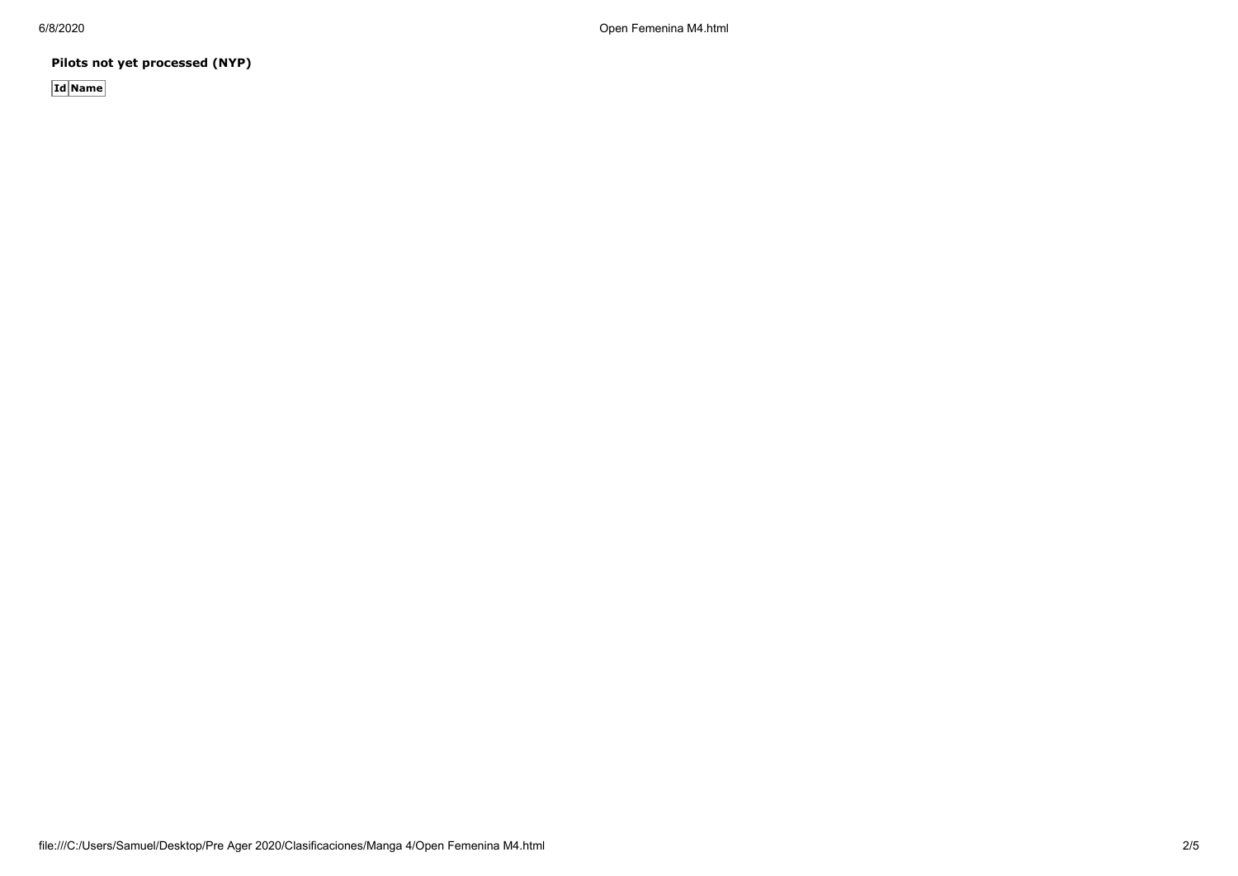6/8/2020 Open Femenina M4.html

**Pilots not yet processed (NYP)**

**Id Name**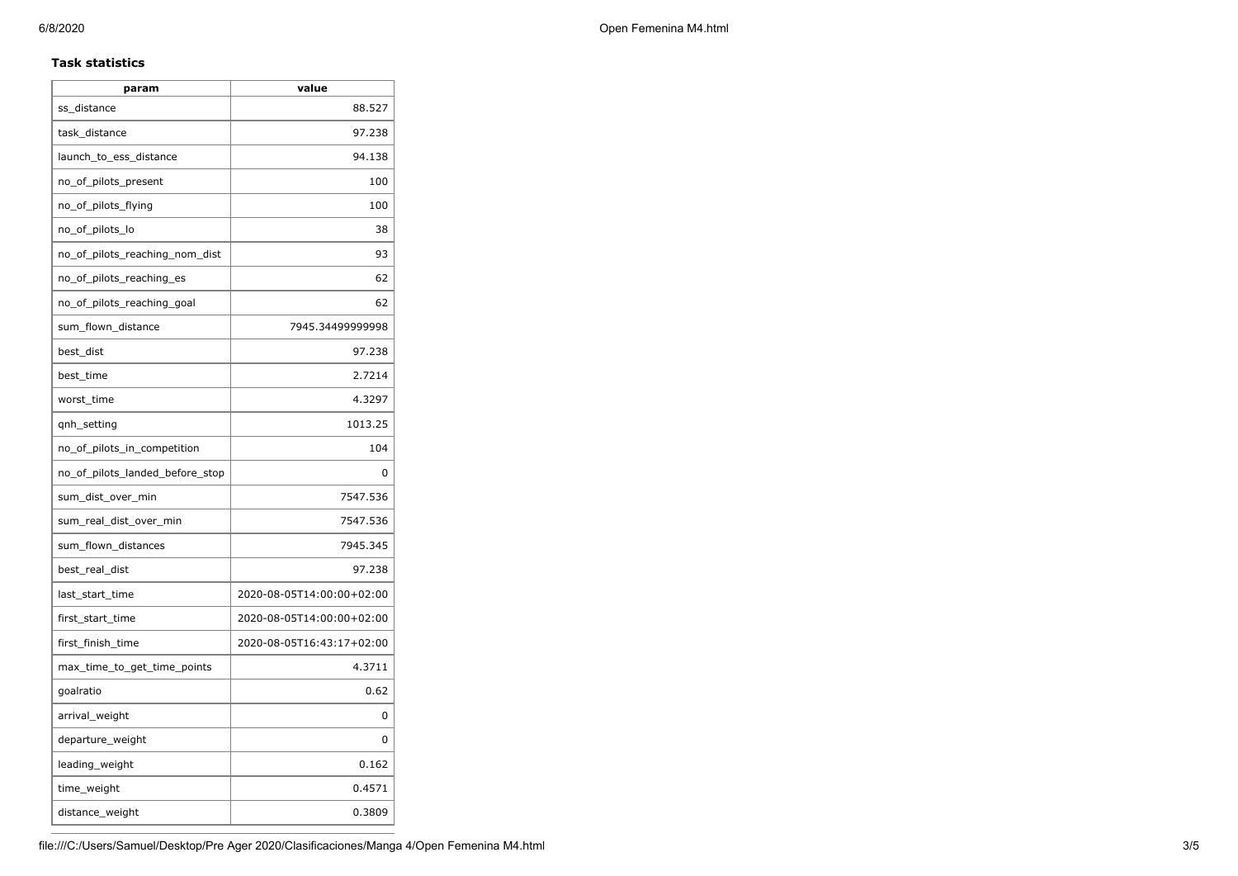# **Task statistics**

| param                           | value                     |
|---------------------------------|---------------------------|
| ss_distance                     | 88.527                    |
| task_distance                   | 97.238                    |
| launch_to_ess_distance          | 94.138                    |
| no_of_pilots_present            | 100                       |
| no_of_pilots_flying             | 100                       |
| no_of_pilots_lo                 | 38                        |
| no_of_pilots_reaching_nom_dist  | 93                        |
| no_of_pilots_reaching_es        | 62                        |
| no_of_pilots_reaching_goal      | 62                        |
| sum_flown_distance              | 7945.34499999998          |
| best dist                       | 97.238                    |
| best_time                       | 2.7214                    |
| worst_time                      | 4.3297                    |
| gnh_setting                     | 1013.25                   |
| no_of_pilots_in_competition     | 104                       |
| no_of_pilots_landed_before_stop | 0                         |
| sum_dist_over_min               | 7547.536                  |
| sum_real_dist_over_min          | 7547.536                  |
| sum_flown_distances             | 7945.345                  |
| best_real_dist                  | 97.238                    |
| last_start_time                 | 2020-08-05T14:00:00+02:00 |
| first_start_time                | 2020-08-05T14:00:00+02:00 |
| first_finish_time               | 2020-08-05T16:43:17+02:00 |
| max_time_to_get_time_points     | 4.3711                    |
| goalratio                       | 0.62                      |
| arrival_weight                  | 0                         |
| departure_weight                | 0                         |
| leading_weight                  | 0.162                     |
| time_weight                     | 0.4571                    |
| distance_weight                 | 0.3809                    |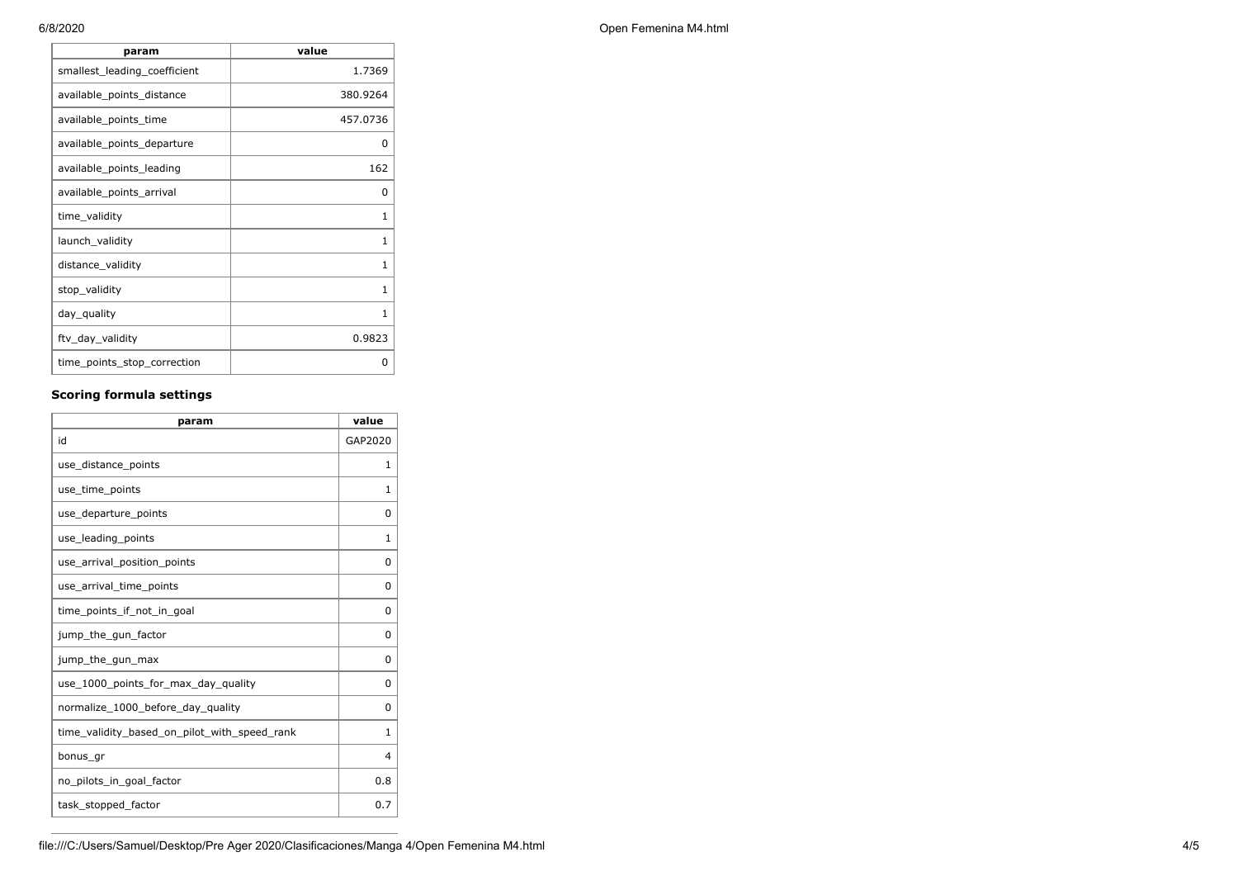| param                        | value    |
|------------------------------|----------|
| smallest_leading_coefficient | 1.7369   |
| available_points_distance    | 380.9264 |
| available_points_time        | 457.0736 |
| available_points_departure   | 0        |
| available points leading     | 162      |
| available_points_arrival     | 0        |
| time_validity                | 1        |
| launch_validity              | 1        |
| distance_validity            | 1        |
| stop_validity                | 1        |
| day_quality                  | 1        |
| ftv_day_validity             | 0.9823   |
| time_points_stop_correction  | 0        |

# **Scoring formula settings**

| param                                        | value        |
|----------------------------------------------|--------------|
| id                                           | GAP2020      |
| use_distance_points                          | 1            |
| use_time_points                              | 1            |
| use_departure_points                         | 0            |
| use leading points                           | 1            |
| use_arrival_position_points                  | 0            |
| use_arrival_time_points                      | 0            |
| time points if not in goal                   | 0            |
| jump_the_gun_factor                          | 0            |
| jump_the_gun_max                             | 0            |
| use_1000_points_for_max_day_quality          | 0            |
| normalize_1000_before_day_quality            | 0            |
| time_validity_based_on_pilot_with_speed_rank | $\mathbf{1}$ |
| bonus_gr                                     | 4            |
| no_pilots_in_goal_factor                     | 0.8          |
| task_stopped_factor                          | 0.7          |

6/8/2020 Open Femenina M4.html